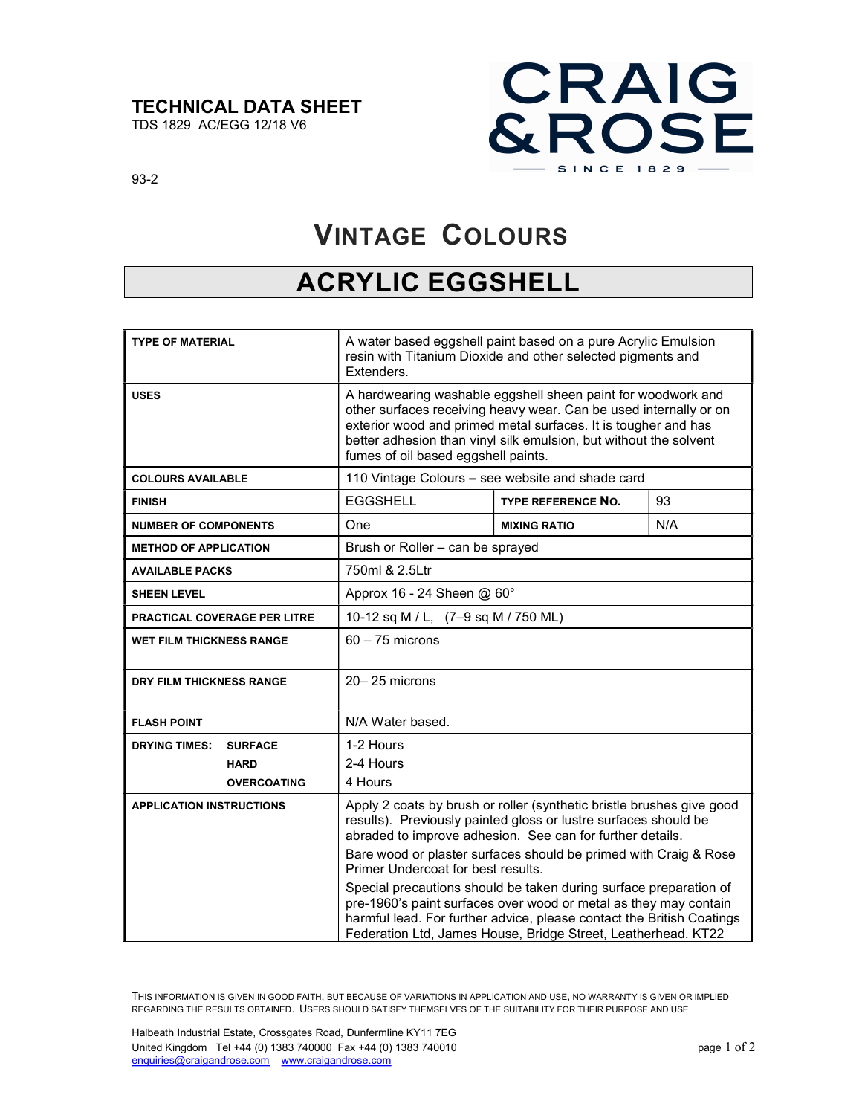#### TECHNICAL DATA SHEET

TDS 1829 AC/EGG 12/18 V6



93-2

l

# VINTAGE COLOURS

## ACRYLIC EGGSHELL

| <b>TYPE OF MATERIAL</b>                | A water based eggshell paint based on a pure Acrylic Emulsion<br>resin with Titanium Dioxide and other selected pigments and<br>Extenders.                                                                                                                                                                      |                           |     |
|----------------------------------------|-----------------------------------------------------------------------------------------------------------------------------------------------------------------------------------------------------------------------------------------------------------------------------------------------------------------|---------------------------|-----|
| <b>USES</b>                            | A hardwearing washable eggshell sheen paint for woodwork and<br>other surfaces receiving heavy wear. Can be used internally or on<br>exterior wood and primed metal surfaces. It is tougher and has<br>better adhesion than vinyl silk emulsion, but without the solvent<br>fumes of oil based eggshell paints. |                           |     |
| <b>COLOURS AVAILABLE</b>               | 110 Vintage Colours - see website and shade card                                                                                                                                                                                                                                                                |                           |     |
| <b>FINISH</b>                          | <b>EGGSHELL</b>                                                                                                                                                                                                                                                                                                 | <b>TYPE REFERENCE NO.</b> | 93  |
| <b>NUMBER OF COMPONENTS</b>            | One                                                                                                                                                                                                                                                                                                             | <b>MIXING RATIO</b>       | N/A |
| <b>METHOD OF APPLICATION</b>           | Brush or Roller - can be sprayed                                                                                                                                                                                                                                                                                |                           |     |
| <b>AVAILABLE PACKS</b>                 | 750ml & 2.5Ltr                                                                                                                                                                                                                                                                                                  |                           |     |
| <b>SHEEN LEVEL</b>                     | Approx 16 - 24 Sheen @ 60°                                                                                                                                                                                                                                                                                      |                           |     |
| <b>PRACTICAL COVERAGE PER LITRE</b>    | 10-12 sq M / L, (7-9 sq M / 750 ML)                                                                                                                                                                                                                                                                             |                           |     |
| <b>WET FILM THICKNESS RANGE</b>        | $60 - 75$ microns                                                                                                                                                                                                                                                                                               |                           |     |
| DRY FILM THICKNESS RANGE               | $20 - 25$ microns                                                                                                                                                                                                                                                                                               |                           |     |
| <b>FLASH POINT</b>                     | N/A Water based.                                                                                                                                                                                                                                                                                                |                           |     |
| <b>DRYING TIMES:</b><br><b>SURFACE</b> | 1-2 Hours                                                                                                                                                                                                                                                                                                       |                           |     |
| <b>HARD</b>                            | 2-4 Hours                                                                                                                                                                                                                                                                                                       |                           |     |
| <b>OVERCOATING</b>                     | 4 Hours                                                                                                                                                                                                                                                                                                         |                           |     |
| <b>APPLICATION INSTRUCTIONS</b>        | Apply 2 coats by brush or roller (synthetic bristle brushes give good<br>results). Previously painted gloss or lustre surfaces should be<br>abraded to improve adhesion. See can for further details.<br>Bare wood or plaster surfaces should be primed with Craig & Rose                                       |                           |     |
|                                        | Primer Undercoat for best results.                                                                                                                                                                                                                                                                              |                           |     |
|                                        | Special precautions should be taken during surface preparation of<br>pre-1960's paint surfaces over wood or metal as they may contain<br>harmful lead. For further advice, please contact the British Coatings<br>Federation Ltd, James House, Bridge Street, Leatherhead. KT22                                 |                           |     |

THIS INFORMATION IS GIVEN IN GOOD FAITH, BUT BECAUSE OF VARIATIONS IN APPLICATION AND USE, NO WARRANTY IS GIVEN OR IMPLIED REGARDING THE RESULTS OBTAINED. USERS SHOULD SATISFY THEMSELVES OF THE SUITABILITY FOR THEIR PURPOSE AND USE.